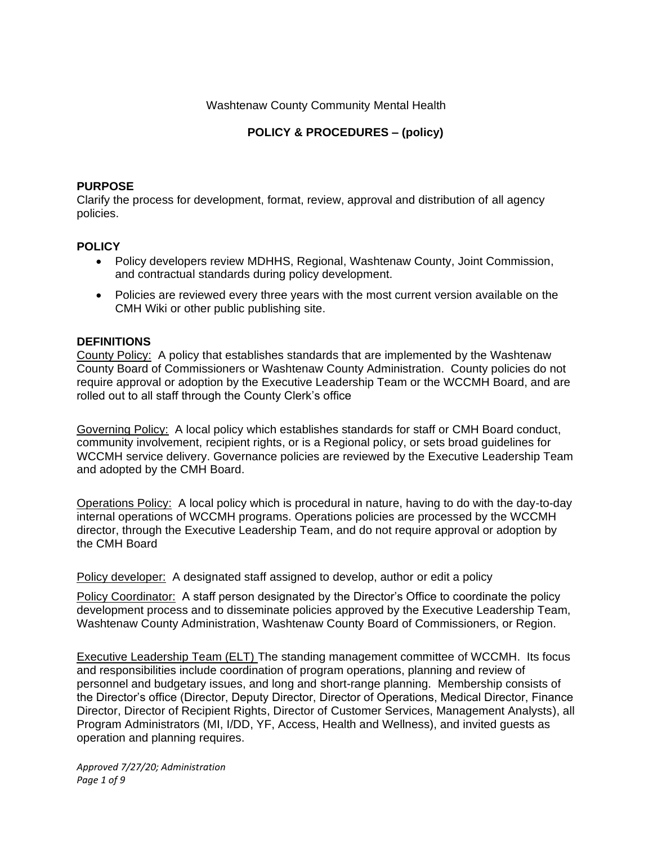Washtenaw County Community Mental Health

# **POLICY & PROCEDURES – (policy)**

#### **PURPOSE**

Clarify the process for development, format, review, approval and distribution of all agency policies.

#### **POLICY**

- Policy developers review MDHHS, Regional, Washtenaw County, Joint Commission, and contractual standards during policy development.
- Policies are reviewed every three years with the most current version available on the CMH Wiki or other public publishing site.

#### **DEFINITIONS**

County Policy: A policy that establishes standards that are implemented by the Washtenaw County Board of Commissioners or Washtenaw County Administration. County policies do not require approval or adoption by the Executive Leadership Team or the WCCMH Board, and are rolled out to all staff through the County Clerk's office

Governing Policy: A local policy which establishes standards for staff or CMH Board conduct, community involvement, recipient rights, or is a Regional policy, or sets broad guidelines for WCCMH service delivery. Governance policies are reviewed by the Executive Leadership Team and adopted by the CMH Board.

Operations Policy: A local policy which is procedural in nature, having to do with the day-to-day internal operations of WCCMH programs. Operations policies are processed by the WCCMH director, through the Executive Leadership Team, and do not require approval or adoption by the CMH Board

Policy developer: A designated staff assigned to develop, author or edit a policy

Policy Coordinator: A staff person designated by the Director's Office to coordinate the policy development process and to disseminate policies approved by the Executive Leadership Team, Washtenaw County Administration, Washtenaw County Board of Commissioners, or Region.

Executive Leadership Team (ELT) The standing management committee of WCCMH. Its focus and responsibilities include coordination of program operations, planning and review of personnel and budgetary issues, and long and short-range planning. Membership consists of the Director's office (Director, Deputy Director, Director of Operations, Medical Director, Finance Director, Director of Recipient Rights, Director of Customer Services, Management Analysts), all Program Administrators (MI, I/DD, YF, Access, Health and Wellness), and invited guests as operation and planning requires.

*Approved 7/27/20; Administration Page 1 of 9*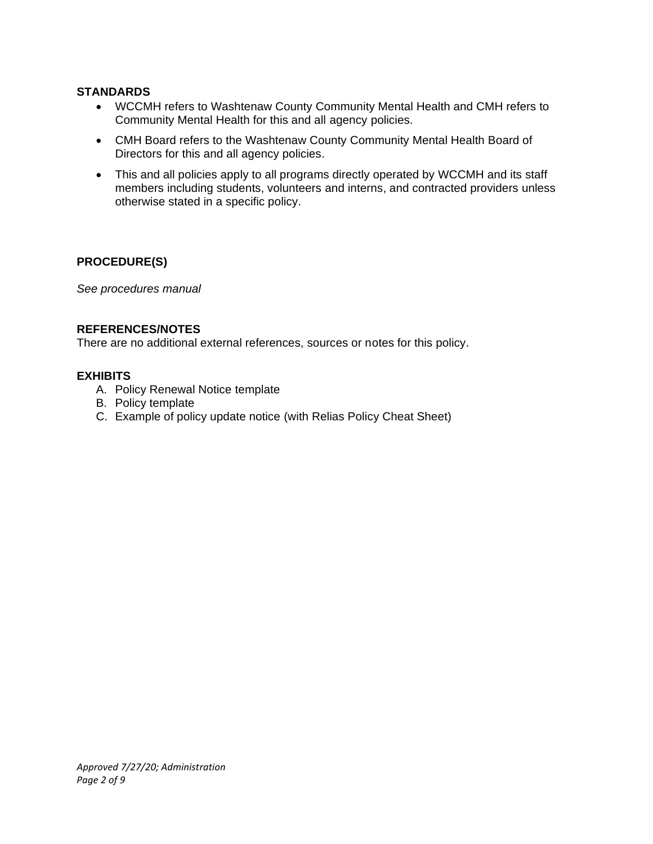# **STANDARDS**

- WCCMH refers to Washtenaw County Community Mental Health and CMH refers to Community Mental Health for this and all agency policies.
- CMH Board refers to the Washtenaw County Community Mental Health Board of Directors for this and all agency policies.
- This and all policies apply to all programs directly operated by WCCMH and its staff members including students, volunteers and interns, and contracted providers unless otherwise stated in a specific policy.

#### **PROCEDURE(S)**

*See procedures manual*

## **REFERENCES/NOTES**

There are no additional external references, sources or notes for this policy.

#### **EXHIBITS**

- A. Policy Renewal Notice template
- B. Policy template
- C. Example of policy update notice (with Relias Policy Cheat Sheet)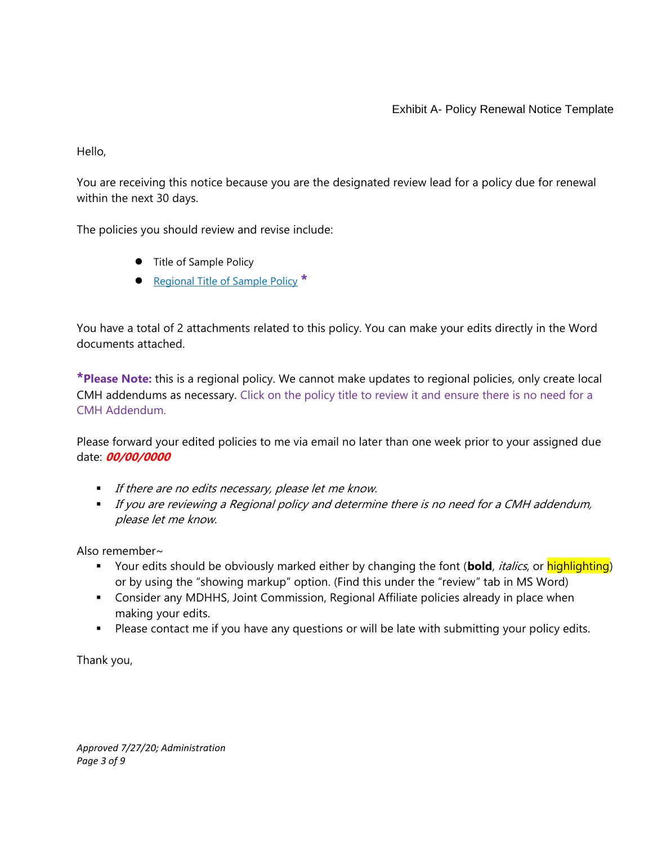Hello,

You are receiving this notice because you are the designated review lead for a policy due for renewal within the next 30 days.

The policies you should review and revise include:

- Title of Sample Policy
- Regional Title of Sample Policy **\***

You have a total of 2 attachments related to this policy. You can make your edits directly in the Word documents attached.

**\*Please Note:** this is a regional policy. We cannot make updates to regional policies, only create local CMH addendums as necessary. Click on the policy title to review it and ensure there is no need for a CMH Addendum.

Please forward your edited policies to me via email no later than one week prior to your assigned due date: **00/00/0000**

- **■** If there are no edits necessary, please let me know.
- **■** If you are reviewing a Regional policy and determine there is no need for a CMH addendum, please let me know.

Also remember~

- Your edits should be obviously marked either by changing the font (**bold**, *italics*, or highlighting) or by using the "showing markup" option. (Find this under the "review" tab in MS Word)
- **Consider any MDHHS, Joint Commission, Regional Affiliate policies already in place when** making your edits.
- Please contact me if you have any questions or will be late with submitting your policy edits.

Thank you,

*Approved 7/27/20; Administration Page 3 of 9*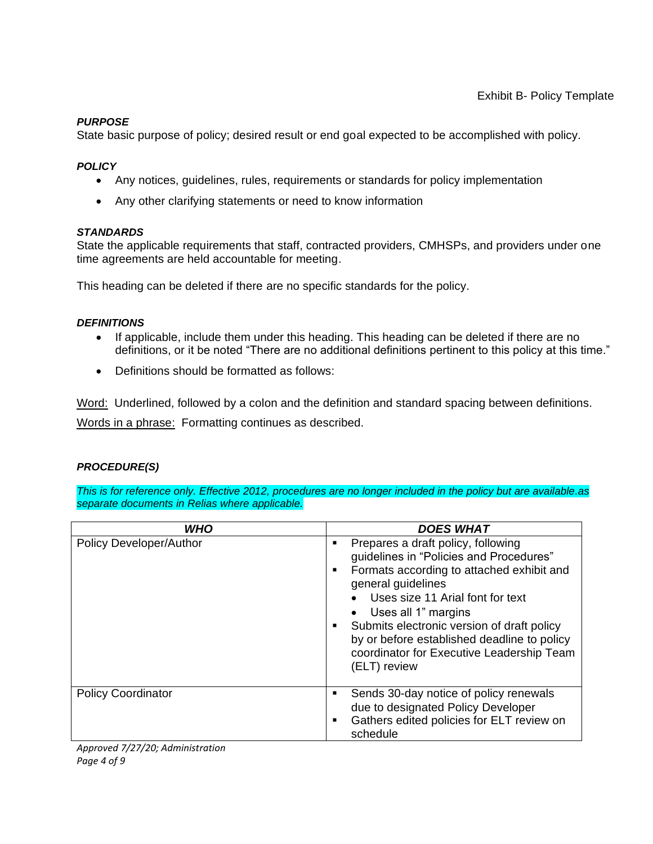## *PURPOSE*

State basic purpose of policy; desired result or end goal expected to be accomplished with policy.

#### *POLICY*

- Any notices, guidelines, rules, requirements or standards for policy implementation
- Any other clarifying statements or need to know information

#### *STANDARDS*

State the applicable requirements that staff, contracted providers, CMHSPs, and providers under one time agreements are held accountable for meeting.

This heading can be deleted if there are no specific standards for the policy.

#### *DEFINITIONS*

- If applicable, include them under this heading. This heading can be deleted if there are no definitions, or it be noted "There are no additional definitions pertinent to this policy at this time."
- Definitions should be formatted as follows:

Word: Underlined, followed by a colon and the definition and standard spacing between definitions. Words in a phrase: Formatting continues as described.

# *PROCEDURE(S)*

*This is for reference only. Effective 2012, procedures are no longer included in the policy but are available.as separate documents in Relias where applicable.*

| <b>WHO</b>                | <b>DOES WHAT</b>                                                                                                                                                                                                                                                                                                                                                                                  |
|---------------------------|---------------------------------------------------------------------------------------------------------------------------------------------------------------------------------------------------------------------------------------------------------------------------------------------------------------------------------------------------------------------------------------------------|
| Policy Developer/Author   | Prepares a draft policy, following<br>$\blacksquare$<br>quidelines in "Policies and Procedures"<br>Formats according to attached exhibit and<br>٠<br>general guidelines<br>Uses size 11 Arial font for text<br>Uses all 1" margins<br>Submits electronic version of draft policy<br>٠<br>by or before established deadline to policy<br>coordinator for Executive Leadership Team<br>(ELT) review |
| <b>Policy Coordinator</b> | Sends 30-day notice of policy renewals<br>$\blacksquare$<br>due to designated Policy Developer<br>Gathers edited policies for ELT review on<br>$\blacksquare$<br>schedule                                                                                                                                                                                                                         |

*Approved 7/27/20; Administration Page 4 of 9*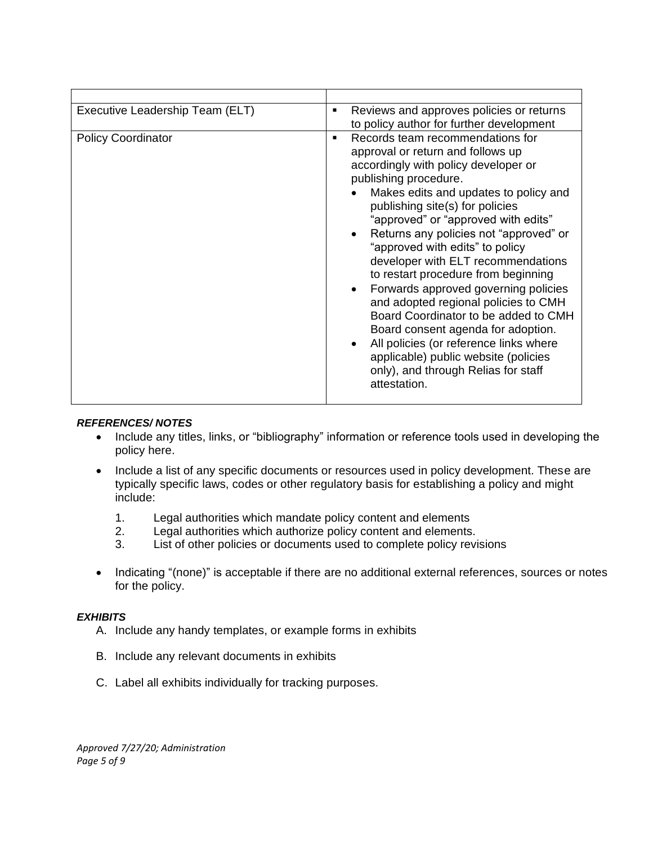| Executive Leadership Team (ELT) | Reviews and approves policies or returns<br>٠<br>to policy author for further development                                                                                                                                                                                                                                                                                                                                                                                                                                                                                                                                                                                                                                       |  |
|---------------------------------|---------------------------------------------------------------------------------------------------------------------------------------------------------------------------------------------------------------------------------------------------------------------------------------------------------------------------------------------------------------------------------------------------------------------------------------------------------------------------------------------------------------------------------------------------------------------------------------------------------------------------------------------------------------------------------------------------------------------------------|--|
| <b>Policy Coordinator</b>       | Records team recommendations for<br>٠<br>approval or return and follows up<br>accordingly with policy developer or<br>publishing procedure.<br>Makes edits and updates to policy and<br>publishing site(s) for policies<br>"approved" or "approved with edits"<br>Returns any policies not "approved" or<br>"approved with edits" to policy<br>developer with ELT recommendations<br>to restart procedure from beginning<br>Forwards approved governing policies<br>and adopted regional policies to CMH<br>Board Coordinator to be added to CMH<br>Board consent agenda for adoption.<br>All policies (or reference links where<br>applicable) public website (policies<br>only), and through Relias for staff<br>attestation. |  |

#### *REFERENCES/ NOTES*

- Include any titles, links, or "bibliography" information or reference tools used in developing the policy here.
- Include a list of any specific documents or resources used in policy development. These are typically specific laws, codes or other regulatory basis for establishing a policy and might include:
	- 1. Legal authorities which mandate policy content and elements
	- 2. Legal authorities which authorize policy content and elements.
	- 3. List of other policies or documents used to complete policy revisions
- Indicating "(none)" is acceptable if there are no additional external references, sources or notes for the policy.

#### *EXHIBITS*

- A. Include any handy templates, or example forms in exhibits
- B. Include any relevant documents in exhibits
- C. Label all exhibits individually for tracking purposes.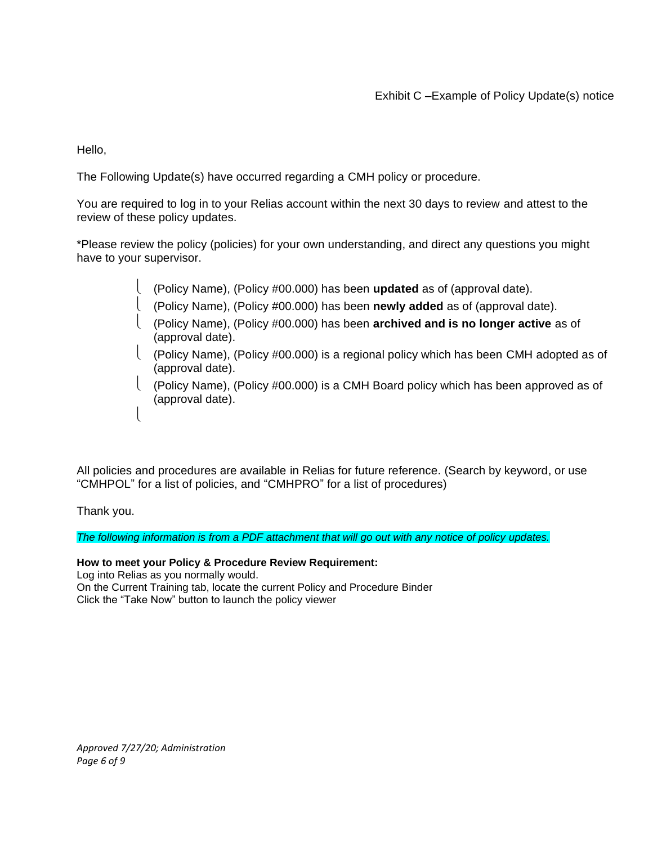Hello,

The Following Update(s) have occurred regarding a CMH policy or procedure.

You are required to log in to your Relias account within the next 30 days to review and attest to the review of these policy updates.

\*Please review the policy (policies) for your own understanding, and direct any questions you might have to your supervisor.

- (Policy Name), (Policy #00.000) has been **updated** as of (approval date).
- (Policy Name), (Policy #00.000) has been **newly added** as of (approval date).
- (Policy Name), (Policy #00.000) has been **archived and is no longer active** as of (approval date).
- (Policy Name), (Policy #00.000) is a regional policy which has been CMH adopted as of (approval date).
- (Policy Name), (Policy #00.000) is a CMH Board policy which has been approved as of (approval date).

All policies and procedures are available in Relias for future reference. (Search by keyword, or use "CMHPOL" for a list of policies, and "CMHPRO" for a list of procedures)

Thank you.

 $\overline{\mathcal{L}}$ 

*The following information is from a PDF attachment that will go out with any notice of policy updates.*

**How to meet your Policy & Procedure Review Requirement:** Log into Relias as you normally would. On the Current Training tab, locate the current Policy and Procedure Binder Click the "Take Now" button to launch the policy viewer

*Approved 7/27/20; Administration Page 6 of 9*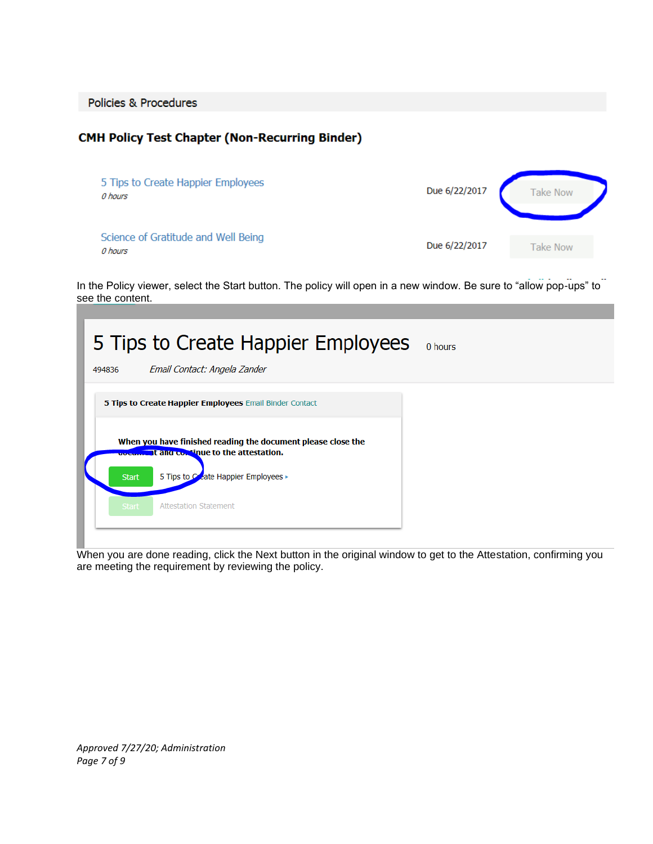Policies & Procedures

# **CMH Policy Test Chapter (Non-Recurring Binder)**

| 5 Tips to Create Happier Employees<br>0 hours  | Due 6/22/2017 | <b>Take Now</b> |
|------------------------------------------------|---------------|-----------------|
| Science of Gratitude and Well Being<br>0 hours | Due 6/22/2017 | <b>Take Now</b> |

In the Policy viewer, select the Start button. The policy will open in a new window. Be sure to "allow pop-ups" to see the content.

| 5 Tips to Create Happier Employees<br>0 hours<br>Email Contact: Angela Zander<br>494836                                                                          |  |
|------------------------------------------------------------------------------------------------------------------------------------------------------------------|--|
| 5 Tips to Create Happier Employees Email Binder Contact                                                                                                          |  |
| When you have finished reading the document please close the<br>uver all and continue to the attestation.<br>5 Tips to Coate Happier Employees ><br><b>Start</b> |  |
| <b>Attestation Statement</b><br>Start,                                                                                                                           |  |

When you are done reading, click the Next button in the original window to get to the Attestation, confirming you are meeting the requirement by reviewing the policy.

*Approved 7/27/20; Administration Page 7 of 9*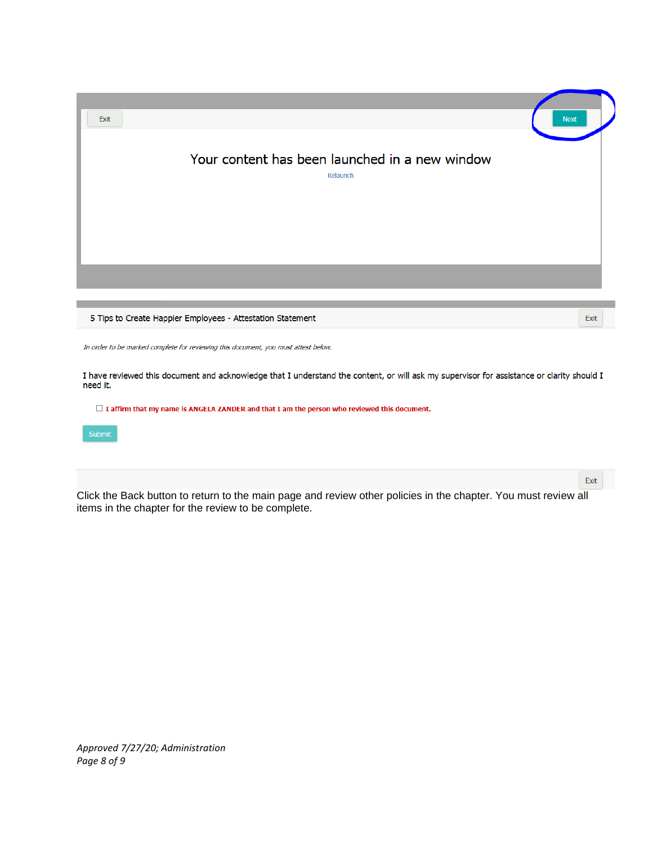| <b>Next</b><br>Exit                                                                                                                                   |      |
|-------------------------------------------------------------------------------------------------------------------------------------------------------|------|
| Your content has been launched in a new window<br>Relaunch                                                                                            |      |
|                                                                                                                                                       |      |
| 5 Tips to Create Happier Employees - Attestation Statement                                                                                            | Exit |
| In order to be marked complete for reviewing this document, you must attest below.                                                                    |      |
| I have reviewed this document and acknowledge that I understand the content, or will ask my supervisor for assistance or clarity should I<br>need it. |      |
| $\Box$ I affirm that my name is ANGELA ZANDER and that I am the person who reviewed this document.                                                    |      |
| Submit                                                                                                                                                |      |

Click the Back button to return to the main page and review other policies in the chapter. You must review all items in the chapter for the review to be complete.